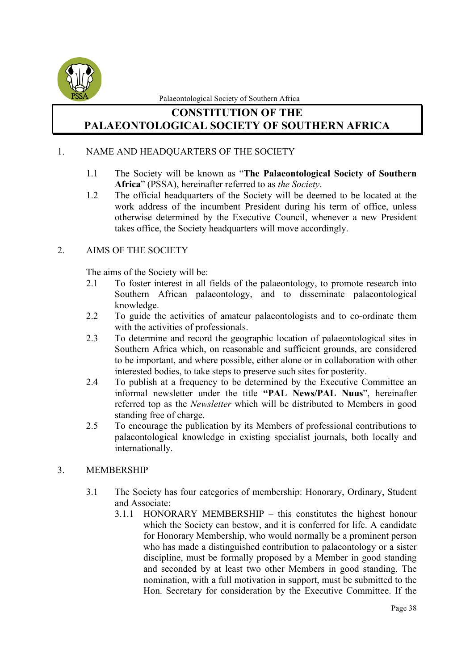

# **CONSTITUTION OF THE PALAEONTOLOGICAL SOCIETY OF SOUTHERN AFRICA**

#### 1. NAME AND HEADQUARTERS OF THE SOCIETY

- 1.1 The Society will be known as "**The Palaeontological Society of Southern Africa**" (PSSA), hereinafter referred to as *the Society.*
- 1.2 The official headquarters of the Society will be deemed to be located at the work address of the incumbent President during his term of office, unless otherwise determined by the Executive Council, whenever a new President takes office, the Society headquarters will move accordingly.

## 2. AIMS OF THE SOCIETY

The aims of the Society will be:

- 2.1 To foster interest in all fields of the palaeontology, to promote research into Southern African palaeontology, and to disseminate palaeontological knowledge.
- 2.2 To guide the activities of amateur palaeontologists and to co-ordinate them with the activities of professionals.
- 2.3 To determine and record the geographic location of palaeontological sites in Southern Africa which, on reasonable and sufficient grounds, are considered to be important, and where possible, either alone or in collaboration with other interested bodies, to take steps to preserve such sites for posterity.
- 2.4 To publish at a frequency to be determined by the Executive Committee an informal newsletter under the title **"PAL News/PAL Nuus**", hereinafter referred top as the *Newsletter* which will be distributed to Members in good standing free of charge.
- 2.5 To encourage the publication by its Members of professional contributions to palaeontological knowledge in existing specialist journals, both locally and internationally.

#### 3. MEMBERSHIP

- 3.1 The Society has four categories of membership: Honorary, Ordinary, Student and Associate:
	- 3.1.1 HONORARY MEMBERSHIP this constitutes the highest honour which the Society can bestow, and it is conferred for life. A candidate for Honorary Membership, who would normally be a prominent person who has made a distinguished contribution to palaeontology or a sister discipline, must be formally proposed by a Member in good standing and seconded by at least two other Members in good standing. The nomination, with a full motivation in support, must be submitted to the Hon. Secretary for consideration by the Executive Committee. If the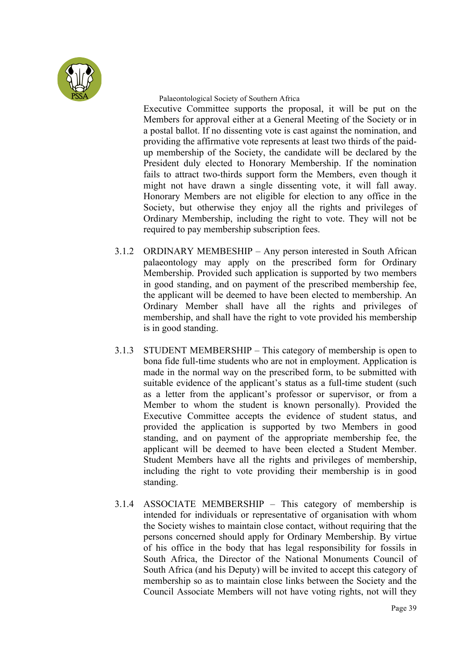

Executive Committee supports the proposal, it will be put on the Members for approval either at a General Meeting of the Society or in a postal ballot. If no dissenting vote is cast against the nomination, and providing the affirmative vote represents at least two thirds of the paidup membership of the Society, the candidate will be declared by the President duly elected to Honorary Membership. If the nomination fails to attract two-thirds support form the Members, even though it might not have drawn a single dissenting vote, it will fall away. Honorary Members are not eligible for election to any office in the Society, but otherwise they enjoy all the rights and privileges of Ordinary Membership, including the right to vote. They will not be required to pay membership subscription fees.

- 3.1.2 ORDINARY MEMBESHIP Any person interested in South African palaeontology may apply on the prescribed form for Ordinary Membership. Provided such application is supported by two members in good standing, and on payment of the prescribed membership fee, the applicant will be deemed to have been elected to membership. An Ordinary Member shall have all the rights and privileges of membership, and shall have the right to vote provided his membership is in good standing.
- 3.1.3 STUDENT MEMBERSHIP This category of membership is open to bona fide full-time students who are not in employment. Application is made in the normal way on the prescribed form, to be submitted with suitable evidence of the applicant's status as a full-time student (such as a letter from the applicant's professor or supervisor, or from a Member to whom the student is known personally). Provided the Executive Committee accepts the evidence of student status, and provided the application is supported by two Members in good standing, and on payment of the appropriate membership fee, the applicant will be deemed to have been elected a Student Member. Student Members have all the rights and privileges of membership, including the right to vote providing their membership is in good standing.
- 3.1.4 ASSOCIATE MEMBERSHIP This category of membership is intended for individuals or representative of organisation with whom the Society wishes to maintain close contact, without requiring that the persons concerned should apply for Ordinary Membership. By virtue of his office in the body that has legal responsibility for fossils in South Africa, the Director of the National Monuments Council of South Africa (and his Deputy) will be invited to accept this category of membership so as to maintain close links between the Society and the Council Associate Members will not have voting rights, not will they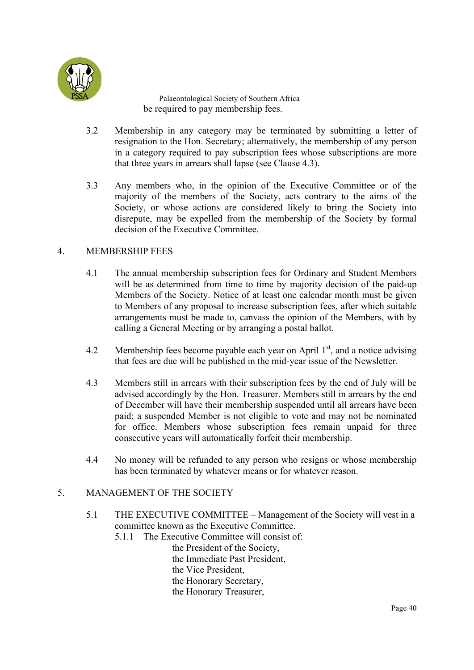

Palaeontological Society of Southern Africa be required to pay membership fees.

- 3.2 Membership in any category may be terminated by submitting a letter of resignation to the Hon. Secretary; alternatively, the membership of any person in a category required to pay subscription fees whose subscriptions are more that three years in arrears shall lapse (see Clause 4.3).
- 3.3 Any members who, in the opinion of the Executive Committee or of the majority of the members of the Society, acts contrary to the aims of the Society, or whose actions are considered likely to bring the Society into disrepute, may be expelled from the membership of the Society by formal decision of the Executive Committee.

#### 4. MEMBERSHIP FEES

- 4.1 The annual membership subscription fees for Ordinary and Student Members will be as determined from time to time by majority decision of the paid-up Members of the Society. Notice of at least one calendar month must be given to Members of any proposal to increase subscription fees, after which suitable arrangements must be made to, canvass the opinion of the Members, with by calling a General Meeting or by arranging a postal ballot.
- 4.2 Membership fees become payable each year on April  $1<sup>st</sup>$ , and a notice advising that fees are due will be published in the mid-year issue of the Newsletter.
- 4.3 Members still in arrears with their subscription fees by the end of July will be advised accordingly by the Hon. Treasurer. Members still in arrears by the end of December will have their membership suspended until all arrears have been paid; a suspended Member is not eligible to vote and may not be nominated for office. Members whose subscription fees remain unpaid for three consecutive years will automatically forfeit their membership.
- 4.4 No money will be refunded to any person who resigns or whose membership has been terminated by whatever means or for whatever reason.

#### 5. MANAGEMENT OF THE SOCIETY

- 5.1 THE EXECUTIVE COMMITTEE Management of the Society will vest in a committee known as the Executive Committee.
	- 5.1.1 The Executive Committee will consist of:

the President of the Society, the Immediate Past President, the Vice President, the Honorary Secretary, the Honorary Treasurer,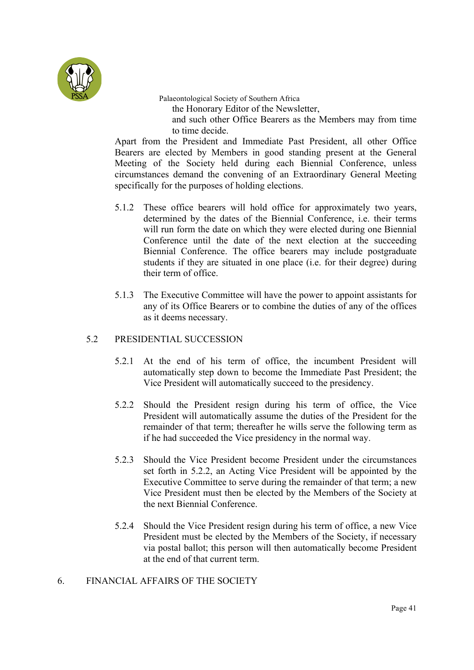

Palaeontological Society of Southern Africa the Honorary Editor of the Newsletter, and such other Office Bearers as the Members may from time to time decide.

Apart from the President and Immediate Past President, all other Office Bearers are elected by Members in good standing present at the General Meeting of the Society held during each Biennial Conference, unless circumstances demand the convening of an Extraordinary General Meeting specifically for the purposes of holding elections.

- 5.1.2 These office bearers will hold office for approximately two years, determined by the dates of the Biennial Conference, i.e. their terms will run form the date on which they were elected during one Biennial Conference until the date of the next election at the succeeding Biennial Conference. The office bearers may include postgraduate students if they are situated in one place (i.e. for their degree) during their term of office.
- 5.1.3 The Executive Committee will have the power to appoint assistants for any of its Office Bearers or to combine the duties of any of the offices as it deems necessary.

#### 5.2 PRESIDENTIAL SUCCESSION

- 5.2.1 At the end of his term of office, the incumbent President will automatically step down to become the Immediate Past President; the Vice President will automatically succeed to the presidency.
- 5.2.2 Should the President resign during his term of office, the Vice President will automatically assume the duties of the President for the remainder of that term; thereafter he wills serve the following term as if he had succeeded the Vice presidency in the normal way.
- 5.2.3 Should the Vice President become President under the circumstances set forth in 5.2.2, an Acting Vice President will be appointed by the Executive Committee to serve during the remainder of that term; a new Vice President must then be elected by the Members of the Society at the next Biennial Conference.
- 5.2.4 Should the Vice President resign during his term of office, a new Vice President must be elected by the Members of the Society, if necessary via postal ballot; this person will then automatically become President at the end of that current term.

## 6. FINANCIAL AFFAIRS OF THE SOCIETY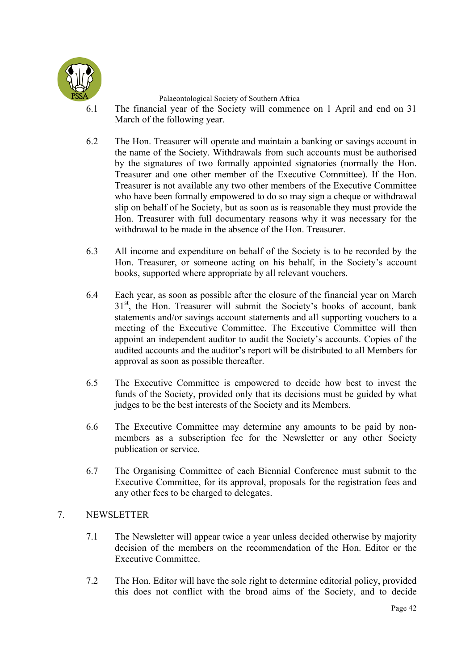

- 6.1 The financial year of the Society will commence on 1 April and end on 31 March of the following year.
- 6.2 The Hon. Treasurer will operate and maintain a banking or savings account in the name of the Society. Withdrawals from such accounts must be authorised by the signatures of two formally appointed signatories (normally the Hon. Treasurer and one other member of the Executive Committee). If the Hon. Treasurer is not available any two other members of the Executive Committee who have been formally empowered to do so may sign a cheque or withdrawal slip on behalf of he Society, but as soon as is reasonable they must provide the Hon. Treasurer with full documentary reasons why it was necessary for the withdrawal to be made in the absence of the Hon. Treasurer.
- 6.3 All income and expenditure on behalf of the Society is to be recorded by the Hon. Treasurer, or someone acting on his behalf, in the Society's account books, supported where appropriate by all relevant vouchers.
- 6.4 Each year, as soon as possible after the closure of the financial year on March 31<sup>st</sup>, the Hon. Treasurer will submit the Society's books of account, bank statements and/or savings account statements and all supporting vouchers to a meeting of the Executive Committee. The Executive Committee will then appoint an independent auditor to audit the Society's accounts. Copies of the audited accounts and the auditor's report will be distributed to all Members for approval as soon as possible thereafter.
- 6.5 The Executive Committee is empowered to decide how best to invest the funds of the Society, provided only that its decisions must be guided by what judges to be the best interests of the Society and its Members.
- 6.6 The Executive Committee may determine any amounts to be paid by nonmembers as a subscription fee for the Newsletter or any other Society publication or service.
- 6.7 The Organising Committee of each Biennial Conference must submit to the Executive Committee, for its approval, proposals for the registration fees and any other fees to be charged to delegates.

## 7. NEWSLETTER

- 7.1 The Newsletter will appear twice a year unless decided otherwise by majority decision of the members on the recommendation of the Hon. Editor or the Executive Committee.
- 7.2 The Hon. Editor will have the sole right to determine editorial policy, provided this does not conflict with the broad aims of the Society, and to decide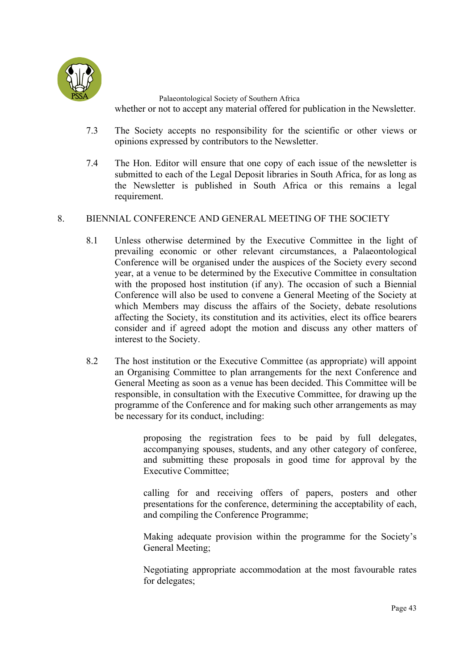

Palaeontological Society of Southern Africa whether or not to accept any material offered for publication in the Newsletter.

- 7.3 The Society accepts no responsibility for the scientific or other views or opinions expressed by contributors to the Newsletter.
- 7.4 The Hon. Editor will ensure that one copy of each issue of the newsletter is submitted to each of the Legal Deposit libraries in South Africa, for as long as the Newsletter is published in South Africa or this remains a legal requirement.

#### 8. BIENNIAL CONFERENCE AND GENERAL MEETING OF THE SOCIETY

- 8.1 Unless otherwise determined by the Executive Committee in the light of prevailing economic or other relevant circumstances, a Palaeontological Conference will be organised under the auspices of the Society every second year, at a venue to be determined by the Executive Committee in consultation with the proposed host institution (if any). The occasion of such a Biennial Conference will also be used to convene a General Meeting of the Society at which Members may discuss the affairs of the Society, debate resolutions affecting the Society, its constitution and its activities, elect its office bearers consider and if agreed adopt the motion and discuss any other matters of interest to the Society.
- 8.2 The host institution or the Executive Committee (as appropriate) will appoint an Organising Committee to plan arrangements for the next Conference and General Meeting as soon as a venue has been decided. This Committee will be responsible, in consultation with the Executive Committee, for drawing up the programme of the Conference and for making such other arrangements as may be necessary for its conduct, including:

proposing the registration fees to be paid by full delegates, accompanying spouses, students, and any other category of conferee, and submitting these proposals in good time for approval by the Executive Committee;

calling for and receiving offers of papers, posters and other presentations for the conference, determining the acceptability of each, and compiling the Conference Programme;

Making adequate provision within the programme for the Society's General Meeting;

Negotiating appropriate accommodation at the most favourable rates for delegates;